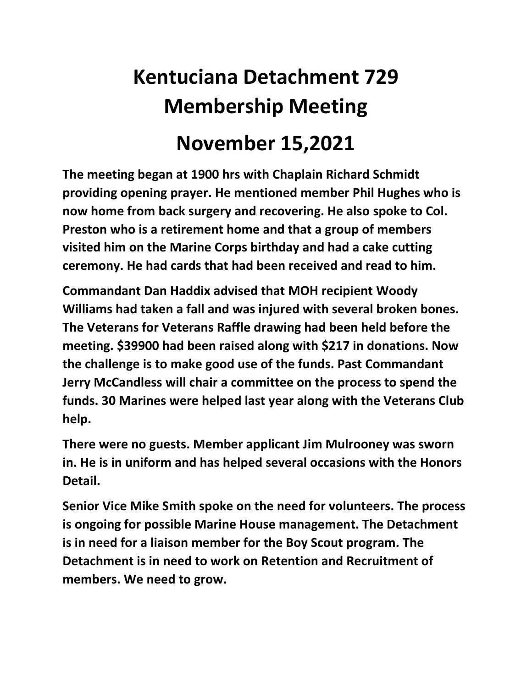## **Kentuciana Detachment 729 Membership Meeting November 15,2021**

**The meeting began at 1900 hrs with Chaplain Richard Schmidt providing opening prayer. He mentioned member Phil Hughes who is now home from back surgery and recovering. He also spoke to Col. Preston who is a retirement home and that a group of members visited him on the Marine Corps birthday and had a cake cutting ceremony. He had cards that had been received and read to him.** 

**Commandant Dan Haddix advised that MOH recipient Woody Williams had taken a fall and was injured with several broken bones. The Veterans for Veterans Raffle drawing had been held before the meeting. \$39900 had been raised along with \$217 in donations. Now the challenge is to make good use of the funds. Past Commandant Jerry McCandless will chair a committee on the process to spend the funds. 30 Marines were helped last year along with the Veterans Club help.**

**There were no guests. Member applicant Jim Mulrooney was sworn in. He is in uniform and has helped several occasions with the Honors Detail.**

**Senior Vice Mike Smith spoke on the need for volunteers. The process is ongoing for possible Marine House management. The Detachment is in need for a liaison member for the Boy Scout program. The Detachment is in need to work on Retention and Recruitment of members. We need to grow.**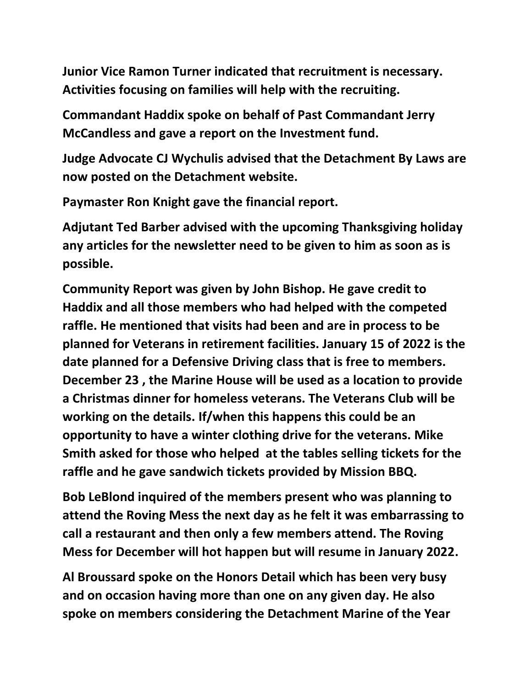**Junior Vice Ramon Turner indicated that recruitment is necessary. Activities focusing on families will help with the recruiting.**

**Commandant Haddix spoke on behalf of Past Commandant Jerry McCandless and gave a report on the Investment fund.**

**Judge Advocate CJ Wychulis advised that the Detachment By Laws are now posted on the Detachment website.**

**Paymaster Ron Knight gave the financial report.**

**Adjutant Ted Barber advised with the upcoming Thanksgiving holiday any articles for the newsletter need to be given to him as soon as is possible.**

**Community Report was given by John Bishop. He gave credit to Haddix and all those members who had helped with the competed raffle. He mentioned that visits had been and are in process to be planned for Veterans in retirement facilities. January 15 of 2022 is the date planned for a Defensive Driving class that is free to members. December 23 , the Marine House will be used as a location to provide a Christmas dinner for homeless veterans. The Veterans Club will be working on the details. If/when this happens this could be an opportunity to have a winter clothing drive for the veterans. Mike Smith asked for those who helped at the tables selling tickets for the raffle and he gave sandwich tickets provided by Mission BBQ.**

**Bob LeBlond inquired of the members present who was planning to attend the Roving Mess the next day as he felt it was embarrassing to call a restaurant and then only a few members attend. The Roving Mess for December will hot happen but will resume in January 2022.**

**Al Broussard spoke on the Honors Detail which has been very busy and on occasion having more than one on any given day. He also spoke on members considering the Detachment Marine of the Year**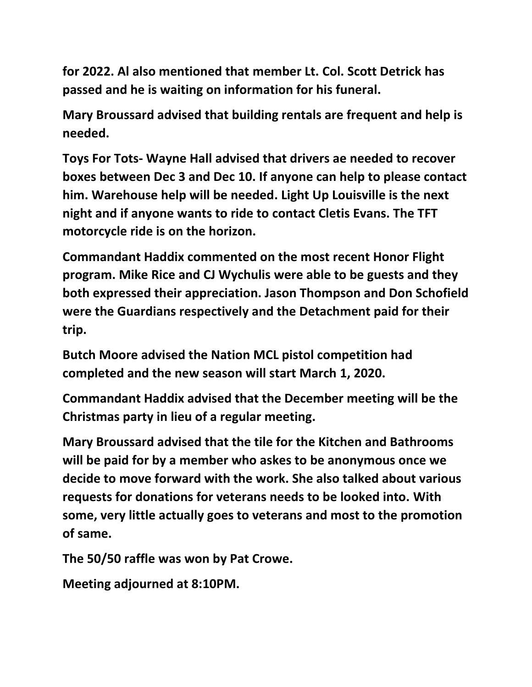**for 2022. Al also mentioned that member Lt. Col. Scott Detrick has passed and he is waiting on information for his funeral.**

**Mary Broussard advised that building rentals are frequent and help is needed.**

**Toys For Tots- Wayne Hall advised that drivers ae needed to recover boxes between Dec 3 and Dec 10. If anyone can help to please contact him. Warehouse help will be needed. Light Up Louisville is the next night and if anyone wants to ride to contact Cletis Evans. The TFT motorcycle ride is on the horizon.**

**Commandant Haddix commented on the most recent Honor Flight program. Mike Rice and CJ Wychulis were able to be guests and they both expressed their appreciation. Jason Thompson and Don Schofield were the Guardians respectively and the Detachment paid for their trip.**

**Butch Moore advised the Nation MCL pistol competition had completed and the new season will start March 1, 2020.**

**Commandant Haddix advised that the December meeting will be the Christmas party in lieu of a regular meeting.**

**Mary Broussard advised that the tile for the Kitchen and Bathrooms will be paid for by a member who askes to be anonymous once we decide to move forward with the work. She also talked about various requests for donations for veterans needs to be looked into. With some, very little actually goes to veterans and most to the promotion of same.**

**The 50/50 raffle was won by Pat Crowe.**

**Meeting adjourned at 8:10PM.**